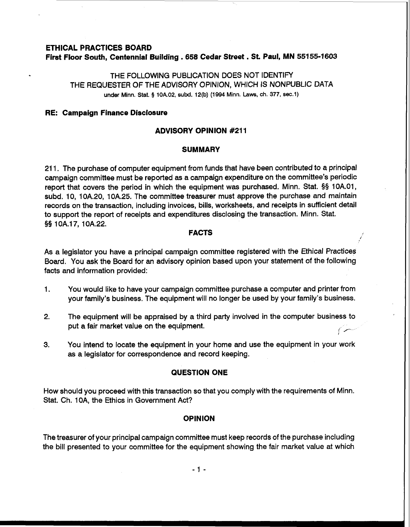### **ETHICAL PRACTICES BOARD First Floor South, Centennial Building** . **658 Cedar Street** . **St. Paul, MN 55155-1603**

THE FOLLOWING PUBLICATION DOES NOT IDENTIFY THE REQUESTER OF THE ADVISORY OPINION, WHICH IS NONPUBLIC DATA **under Minn.** Stat. **5 10A.02, subd. 12(b) (1994 Minn. Laws, ch. 377, sec.1)** 

## **RE: Campaign Finance Disclosure**

## **ADVISORY OPINION #211**

## **SUMMARY**

21 1. The purchase of computer equipment from funds that have been contributed to a principal campaign committee must be reported as a campaign expenditure on the committee's periodic report that covers the period in which the equipment was purchased. Minn. Stat. §§ 10A.O1, subd. 10, 10A.20, 10A.25. The committee treasurer must approve the purchase and maintain records on the transaction, including invoices, bills, worksheets, and receipts in sufficient detail to support the report of receipts and expenditures disclosing the transaction. Minn. Stat. §§ 10A.17, 10A.22.

# **FACTS** ,

As a legislator you have a principal campaign committee registered with the Ethical Practices Board. You ask the Board for an advisory opinion based upon your statement of the following facts and information provided:

- 1. You would like to have your campaign committee purchase a computer and printer from your family's business. The equipment will no longer be used by your family's business.
- **2.** The equipment will be appraised by a third party involved in the computer business to put a fair market value on the equipment.

**t** 

**3.** You intend to locate the equipment in your home and use the equipment in your work as a legislator for correspondence and record keeping.

## **QUESTION ONE**

How should you proceed with this transaction so that you comply with the requirements of Minn. Stat. Ch. 1 OA, the Ethics in Government Act?

## **OPINION**

The treasurer of your principal campaign committee must keep records of the purchase including the bill presented to your committee for the equipment showing the fair market value at which